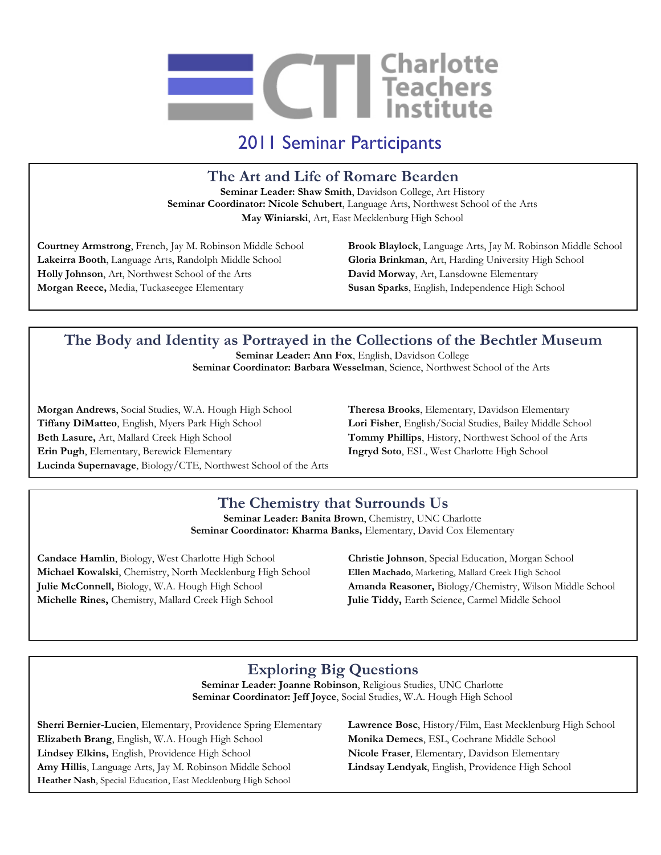

2011 Seminar Participants

**The Art and Life of Romare Bearden**

**Seminar Leader: Shaw Smith**, Davidson College, Art History **Seminar Coordinator: Nicole Schubert**, Language Arts, Northwest School of the Arts **May Winiarski**, Art, East Mecklenburg High School

**Lakeirra Booth**, Language Arts, Randolph Middle School **Gloria Brinkman**, Art, Harding University High School **Holly Johnson**, Art, Northwest School of the Arts **David Morway**, Art, Lansdowne Elementary **Morgan Reece,** Media, Tuckaseegee Elementary **Susan Sparks**, English, Independence High School

**Courtney Armstrong**, French, Jay M. Robinson Middle School **Brook Blaylock**, Language Arts, Jay M. Robinson Middle School

# **The Body and Identity as Portrayed in the Collections of the Bechtler Museum**

**Seminar Leader: Ann Fox**, English, Davidson College **Seminar Coordinator: Barbara Wesselman**, Science, Northwest School of the Arts

**Morgan Andrews**, Social Studies, W.A. Hough High School **Theresa Brooks**, Elementary, Davidson Elementary **Tiffany DiMatteo**, English, Myers Park High School **Lori Fisher**, English/Social Studies, Bailey Middle School **Beth Lasure,** Art, Mallard Creek High School **Tommy Phillips**, History, Northwest School of the Arts **Erin Pugh**, Elementary, Berewick Elementary **Ingryd Soto**, ESL, West Charlotte High School **Lucinda Supernavage**, Biology/CTE, Northwest School of the Arts

## **The Chemistry that Surrounds Us**

**Seminar Leader: Banita Brown**, Chemistry, UNC Charlotte **Seminar Coordinator: Kharma Banks,** Elementary, David Cox Elementary

**Candace Hamlin**, Biology, West Charlotte High School **Christie Johnson**, Special Education, Morgan School **Michael Kowalski**, Chemistry, North Mecklenburg High School **Ellen Machado**, Marketing, Mallard Creek High School **Julie McConnell,** Biology, W.A. Hough High School **Amanda Reasoner,** Biology/Chemistry, Wilson Middle School **Michelle Rines,** Chemistry, Mallard Creek High School **Julie Tiddy,** Earth Science, Carmel Middle School

## **Exploring Big Questions**

**Seminar Leader: Joanne Robinson**, Religious Studies, UNC Charlotte **Seminar Coordinator: Jeff Joyce**, Social Studies, W.A. Hough High School

Lindsey Elkins, English, Providence High School **Nicole Fraser**, Elementary, Davidson Elementary **Sherri Bernier-Lucien**, Elementary, Providence Spring Elementary **Lawrence Bosc**, History/Film, East Mecklenburg High School **Elizabeth Brang**, English, W.A. Hough High School **Monika Demecs**, ESL, Cochrane Middle School **Amy Hillis**, Language Arts, Jay M. Robinson Middle School **Lindsay Lendyak**, English, Providence High School **Heather Nash**, Special Education, East Mecklenburg High School